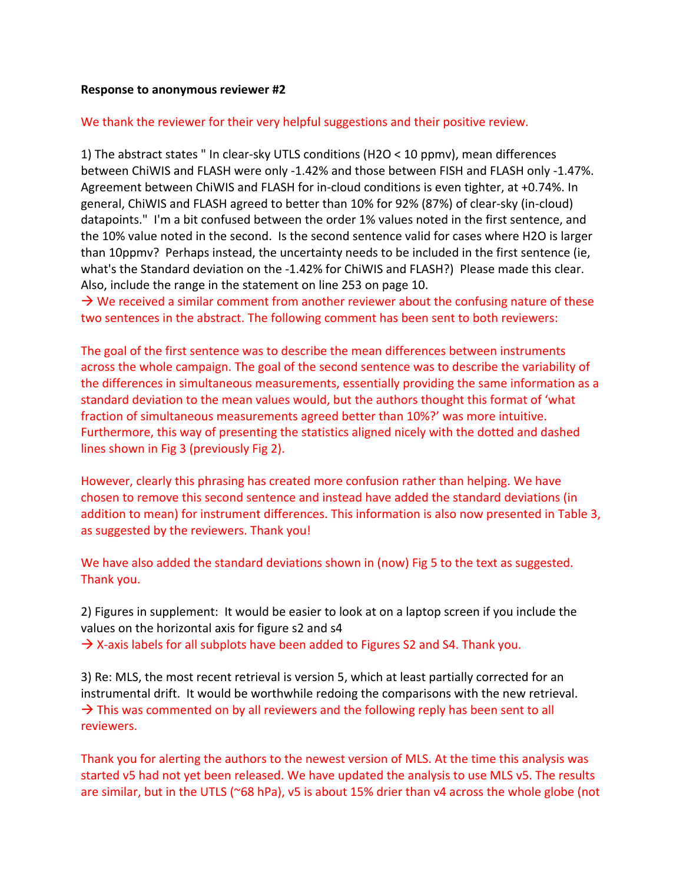## **Response to anonymous reviewer #2**

## We thank the reviewer for their very helpful suggestions and their positive review.

1) The abstract states " In clear-sky UTLS conditions (H2O < 10 ppmv), mean differences between ChiWIS and FLASH were only -1.42% and those between FISH and FLASH only -1.47%. Agreement between ChiWIS and FLASH for in-cloud conditions is even tighter, at +0.74%. In general, ChiWIS and FLASH agreed to better than 10% for 92% (87%) of clear-sky (in-cloud) datapoints." I'm a bit confused between the order 1% values noted in the first sentence, and the 10% value noted in the second. Is the second sentence valid for cases where H2O is larger than 10ppmv? Perhaps instead, the uncertainty needs to be included in the first sentence (ie, what's the Standard deviation on the -1.42% for ChiWIS and FLASH?) Please made this clear. Also, include the range in the statement on line 253 on page 10.

 $\rightarrow$  We received a similar comment from another reviewer about the confusing nature of these two sentences in the abstract. The following comment has been sent to both reviewers:

The goal of the first sentence was to describe the mean differences between instruments across the whole campaign. The goal of the second sentence was to describe the variability of the differences in simultaneous measurements, essentially providing the same information as a standard deviation to the mean values would, but the authors thought this format of 'what fraction of simultaneous measurements agreed better than 10%?' was more intuitive. Furthermore, this way of presenting the statistics aligned nicely with the dotted and dashed lines shown in Fig 3 (previously Fig 2).

However, clearly this phrasing has created more confusion rather than helping. We have chosen to remove this second sentence and instead have added the standard deviations (in addition to mean) for instrument differences. This information is also now presented in Table 3, as suggested by the reviewers. Thank you!

We have also added the standard deviations shown in (now) Fig 5 to the text as suggested. Thank you.

2) Figures in supplement: It would be easier to look at on a laptop screen if you include the values on the horizontal axis for figure s2 and s4  $\rightarrow$  X-axis labels for all subplots have been added to Figures S2 and S4. Thank you.

3) Re: MLS, the most recent retrieval is version 5, which at least partially corrected for an instrumental drift. It would be worthwhile redoing the comparisons with the new retrieval.  $\rightarrow$  This was commented on by all reviewers and the following reply has been sent to all reviewers.

Thank you for alerting the authors to the newest version of MLS. At the time this analysis was started v5 had not yet been released. We have updated the analysis to use MLS v5. The results are similar, but in the UTLS (~68 hPa), v5 is about 15% drier than v4 across the whole globe (not